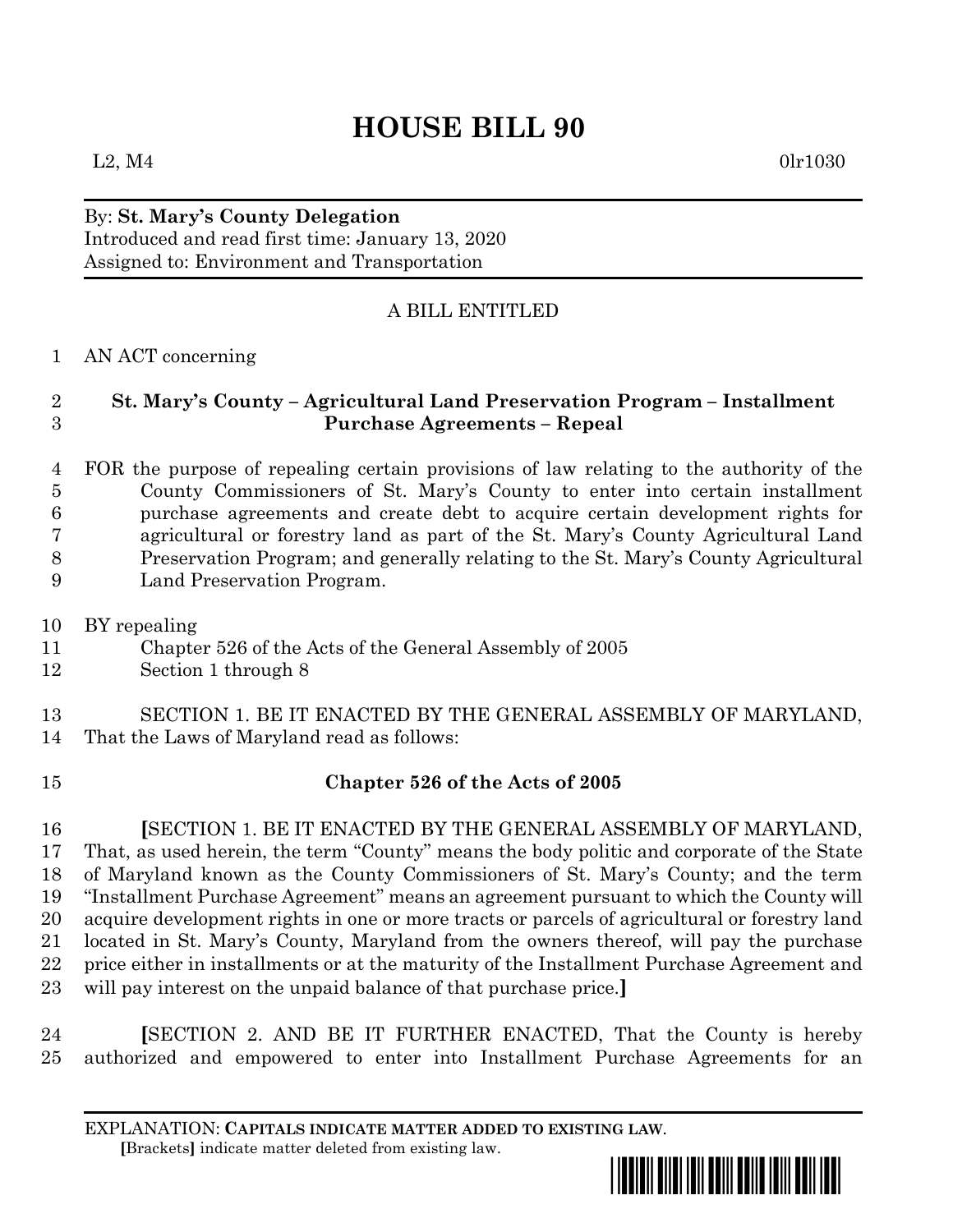# **HOUSE BILL 90**

 $L2, M4$  0lr1030

### By: **St. Mary's County Delegation** Introduced and read first time: January 13, 2020 Assigned to: Environment and Transportation

## A BILL ENTITLED

#### AN ACT concerning

#### **St. Mary's County – Agricultural Land Preservation Program – Installment Purchase Agreements – Repeal**

 FOR the purpose of repealing certain provisions of law relating to the authority of the County Commissioners of St. Mary's County to enter into certain installment purchase agreements and create debt to acquire certain development rights for agricultural or forestry land as part of the St. Mary's County Agricultural Land Preservation Program; and generally relating to the St. Mary's County Agricultural Land Preservation Program.

- BY repealing
- Chapter 526 of the Acts of the General Assembly of 2005
- Section 1 through 8

 SECTION 1. BE IT ENACTED BY THE GENERAL ASSEMBLY OF MARYLAND, That the Laws of Maryland read as follows:

### **Chapter 526 of the Acts of 2005**

 **[**SECTION 1. BE IT ENACTED BY THE GENERAL ASSEMBLY OF MARYLAND, That, as used herein, the term "County" means the body politic and corporate of the State of Maryland known as the County Commissioners of St. Mary's County; and the term "Installment Purchase Agreement" means an agreement pursuant to which the County will acquire development rights in one or more tracts or parcels of agricultural or forestry land located in St. Mary's County, Maryland from the owners thereof, will pay the purchase price either in installments or at the maturity of the Installment Purchase Agreement and will pay interest on the unpaid balance of that purchase price.**]**

 **[**SECTION 2. AND BE IT FURTHER ENACTED, That the County is hereby authorized and empowered to enter into Installment Purchase Agreements for an

EXPLANATION: **CAPITALS INDICATE MATTER ADDED TO EXISTING LAW**.  **[**Brackets**]** indicate matter deleted from existing law.

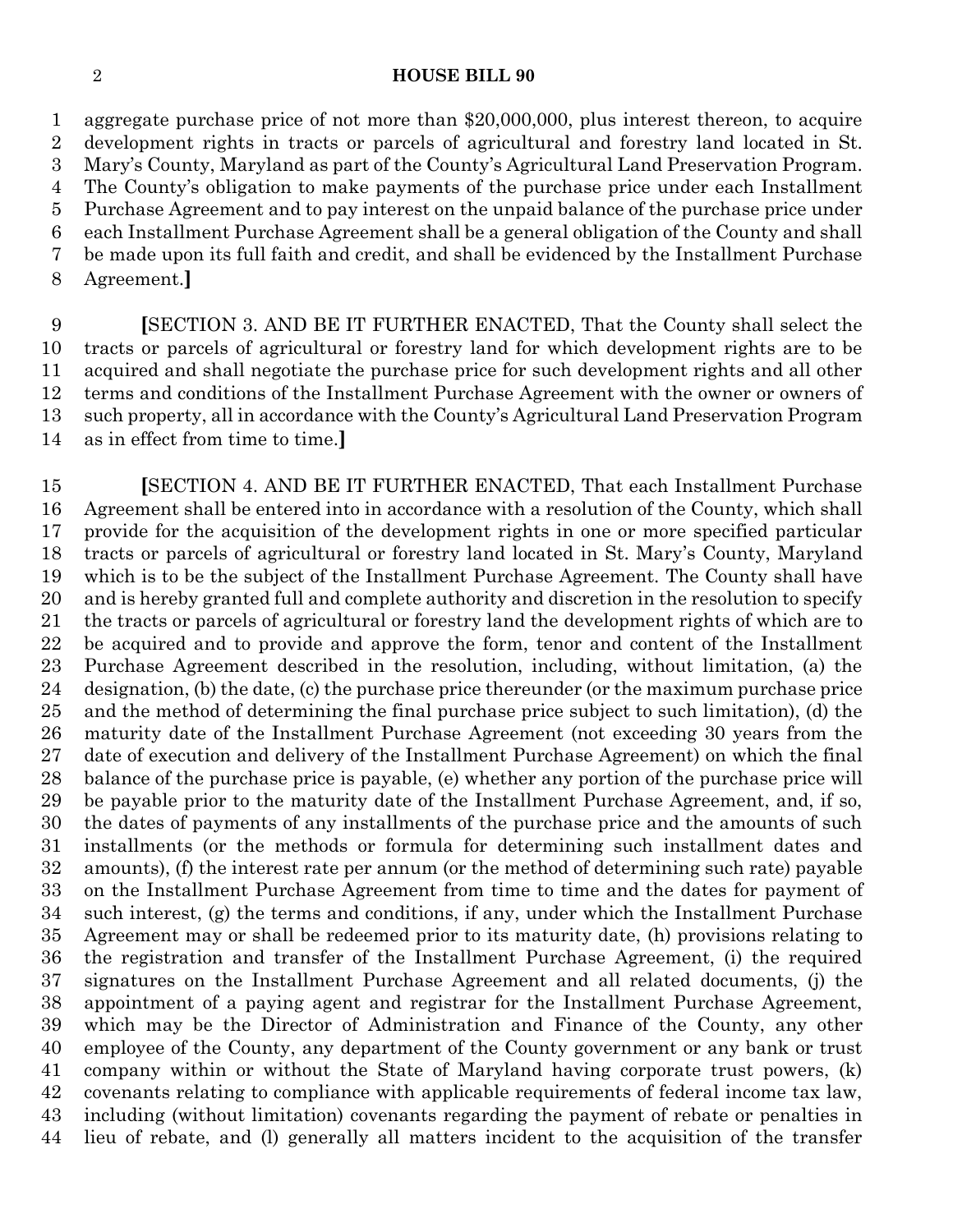#### **HOUSE BILL 90**

 aggregate purchase price of not more than \$20,000,000, plus interest thereon, to acquire development rights in tracts or parcels of agricultural and forestry land located in St. Mary's County, Maryland as part of the County's Agricultural Land Preservation Program. The County's obligation to make payments of the purchase price under each Installment Purchase Agreement and to pay interest on the unpaid balance of the purchase price under each Installment Purchase Agreement shall be a general obligation of the County and shall be made upon its full faith and credit, and shall be evidenced by the Installment Purchase Agreement.**]**

 **[**SECTION 3. AND BE IT FURTHER ENACTED, That the County shall select the tracts or parcels of agricultural or forestry land for which development rights are to be acquired and shall negotiate the purchase price for such development rights and all other terms and conditions of the Installment Purchase Agreement with the owner or owners of such property, all in accordance with the County's Agricultural Land Preservation Program as in effect from time to time.**]**

 **[**SECTION 4. AND BE IT FURTHER ENACTED, That each Installment Purchase Agreement shall be entered into in accordance with a resolution of the County, which shall provide for the acquisition of the development rights in one or more specified particular tracts or parcels of agricultural or forestry land located in St. Mary's County, Maryland which is to be the subject of the Installment Purchase Agreement. The County shall have and is hereby granted full and complete authority and discretion in the resolution to specify the tracts or parcels of agricultural or forestry land the development rights of which are to be acquired and to provide and approve the form, tenor and content of the Installment Purchase Agreement described in the resolution, including, without limitation, (a) the designation, (b) the date, (c) the purchase price thereunder (or the maximum purchase price and the method of determining the final purchase price subject to such limitation), (d) the maturity date of the Installment Purchase Agreement (not exceeding 30 years from the date of execution and delivery of the Installment Purchase Agreement) on which the final balance of the purchase price is payable, (e) whether any portion of the purchase price will be payable prior to the maturity date of the Installment Purchase Agreement, and, if so, the dates of payments of any installments of the purchase price and the amounts of such installments (or the methods or formula for determining such installment dates and amounts), (f) the interest rate per annum (or the method of determining such rate) payable on the Installment Purchase Agreement from time to time and the dates for payment of such interest, (g) the terms and conditions, if any, under which the Installment Purchase Agreement may or shall be redeemed prior to its maturity date, (h) provisions relating to the registration and transfer of the Installment Purchase Agreement, (i) the required signatures on the Installment Purchase Agreement and all related documents, (j) the appointment of a paying agent and registrar for the Installment Purchase Agreement, which may be the Director of Administration and Finance of the County, any other employee of the County, any department of the County government or any bank or trust company within or without the State of Maryland having corporate trust powers, (k) covenants relating to compliance with applicable requirements of federal income tax law, including (without limitation) covenants regarding the payment of rebate or penalties in lieu of rebate, and (l) generally all matters incident to the acquisition of the transfer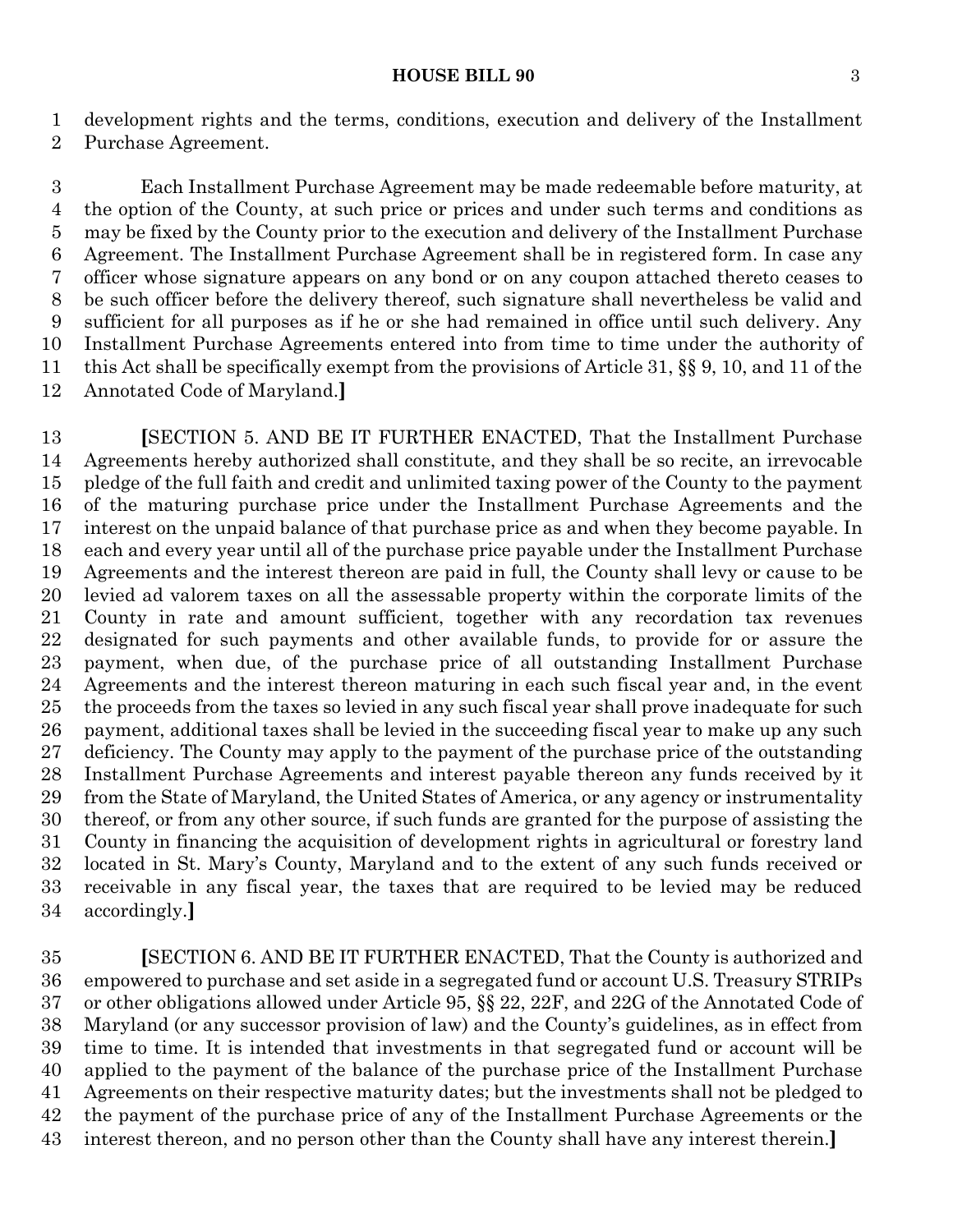development rights and the terms, conditions, execution and delivery of the Installment

Purchase Agreement.

 Each Installment Purchase Agreement may be made redeemable before maturity, at the option of the County, at such price or prices and under such terms and conditions as may be fixed by the County prior to the execution and delivery of the Installment Purchase Agreement. The Installment Purchase Agreement shall be in registered form. In case any officer whose signature appears on any bond or on any coupon attached thereto ceases to be such officer before the delivery thereof, such signature shall nevertheless be valid and sufficient for all purposes as if he or she had remained in office until such delivery. Any Installment Purchase Agreements entered into from time to time under the authority of this Act shall be specifically exempt from the provisions of Article 31, §§ 9, 10, and 11 of the Annotated Code of Maryland.**]**

 **[**SECTION 5. AND BE IT FURTHER ENACTED, That the Installment Purchase Agreements hereby authorized shall constitute, and they shall be so recite, an irrevocable pledge of the full faith and credit and unlimited taxing power of the County to the payment of the maturing purchase price under the Installment Purchase Agreements and the interest on the unpaid balance of that purchase price as and when they become payable. In each and every year until all of the purchase price payable under the Installment Purchase Agreements and the interest thereon are paid in full, the County shall levy or cause to be levied ad valorem taxes on all the assessable property within the corporate limits of the County in rate and amount sufficient, together with any recordation tax revenues designated for such payments and other available funds, to provide for or assure the payment, when due, of the purchase price of all outstanding Installment Purchase Agreements and the interest thereon maturing in each such fiscal year and, in the event the proceeds from the taxes so levied in any such fiscal year shall prove inadequate for such payment, additional taxes shall be levied in the succeeding fiscal year to make up any such deficiency. The County may apply to the payment of the purchase price of the outstanding Installment Purchase Agreements and interest payable thereon any funds received by it from the State of Maryland, the United States of America, or any agency or instrumentality thereof, or from any other source, if such funds are granted for the purpose of assisting the County in financing the acquisition of development rights in agricultural or forestry land located in St. Mary's County, Maryland and to the extent of any such funds received or receivable in any fiscal year, the taxes that are required to be levied may be reduced accordingly.**]**

 **[**SECTION 6. AND BE IT FURTHER ENACTED, That the County is authorized and empowered to purchase and set aside in a segregated fund or account U.S. Treasury STRIPs or other obligations allowed under Article 95, §§ 22, 22F, and 22G of the Annotated Code of Maryland (or any successor provision of law) and the County's guidelines, as in effect from time to time. It is intended that investments in that segregated fund or account will be applied to the payment of the balance of the purchase price of the Installment Purchase Agreements on their respective maturity dates; but the investments shall not be pledged to the payment of the purchase price of any of the Installment Purchase Agreements or the interest thereon, and no person other than the County shall have any interest therein.**]**